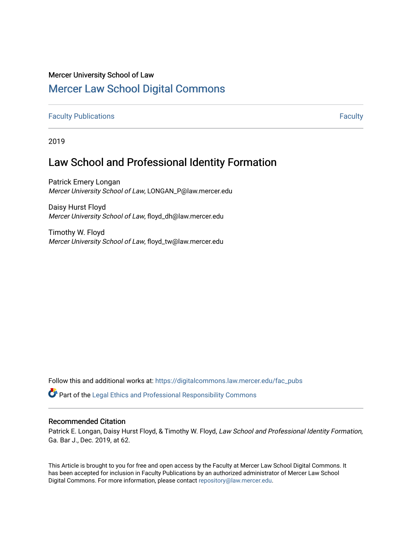#### Mercer University School of Law

## [Mercer Law School Digital Commons](https://digitalcommons.law.mercer.edu/)

### **[Faculty Publications](https://digitalcommons.law.mercer.edu/fac_pubs) [Faculty](https://digitalcommons.law.mercer.edu/faculty) Publications** Faculty **Faculty Faculty Faculty Faculty Faculty Faculty Faculty**

2019

# Law School and Professional Identity Formation

Patrick Emery Longan Mercer University School of Law, LONGAN\_P@law.mercer.edu

Daisy Hurst Floyd Mercer University School of Law, floyd\_dh@law.mercer.edu

Timothy W. Floyd Mercer University School of Law, floyd\_tw@law.mercer.edu

Follow this and additional works at: [https://digitalcommons.law.mercer.edu/fac\\_pubs](https://digitalcommons.law.mercer.edu/fac_pubs?utm_source=digitalcommons.law.mercer.edu%2Ffac_pubs%2F32&utm_medium=PDF&utm_campaign=PDFCoverPages) 

Part of the [Legal Ethics and Professional Responsibility Commons](http://network.bepress.com/hgg/discipline/895?utm_source=digitalcommons.law.mercer.edu%2Ffac_pubs%2F32&utm_medium=PDF&utm_campaign=PDFCoverPages)

## Recommended Citation

Patrick E. Longan, Daisy Hurst Floyd, & Timothy W. Floyd, Law School and Professional Identity Formation, Ga. Bar J., Dec. 2019, at 62.

This Article is brought to you for free and open access by the Faculty at Mercer Law School Digital Commons. It has been accepted for inclusion in Faculty Publications by an authorized administrator of Mercer Law School Digital Commons. For more information, please contact [repository@law.mercer.edu](mailto:repository@law.mercer.edu).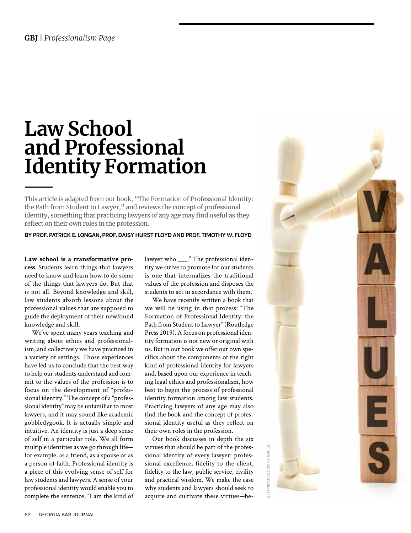# **Law School and Professional Identity Formation**

This article is adapted from our book, "The Formation of Professional Identity: the Path from Student to Lawyer," and reviews the concept of professional identity, something that practicing lawyers of any age may find useful as they reflect on their own roles in the profession.

#### **BY PROF. PATRICK E. LONGAN, PROF. DAISY HURST FLOYD AND PROF. TIMOTHY W. FLOYD**

**Law school is a transformative process**. Students learn things that lawyers need to know and learn how to do some of the things that lawyers do. But that is not all. Beyond knowledge and skill, law students absorb lessons about the professional values that are supposed to guide the deployment of their newfound knowledge and skill.

We've spent many years teaching and writing about ethics and professionalism, and collectively we have practiced in a variety of settings. Those experiences have led us to conclude that the best way to help our students understand and commit to the values of the profession is to focus on the development of "professional identity." The concept of a "professional identity" may be unfamiliar to most lawyers, and it may sound like academic gobbledygook. It is actually simple and intuitive. An identity is just a deep sense of self in a particular role. We all form multiple identities as we go through life for example, as a friend, as a spouse or as a person of faith. Professional identity is a piece of this evolving sense of self for law students and lawyers. A sense of your professional identity would enable you to complete the sentence, "I am the kind of lawyer who \_\_\_." The professional identity we strive to promote for our students is one that internalizes the traditional values of the profession and disposes the students to act in accordance with them.

We have recently written a book that we will be using in that process: "The Formation of Professional Identity: the Path from Student to Lawyer" (Routledge Press 2019). A focus on professional identity formation is not new or original with us. But in our book we offer our own specifics about the components of the right kind of professional identity for lawyers and, based upon our experience in teaching legal ethics and professionalism, how best to begin the process of professional identity formation among law students. Practicing lawyers of any age may also find the book and the concept of professional identity useful as they reflect on their own roles in the profession.

Our book discusses in depth the six virtues that should be part of the professional identity of every lawyer: professional excellence, fidelity to the client, fidelity to the law, public service, civility and practical wisdom. We make the case why students and lawyers should seek to acquire and cultivate these virtues—be-